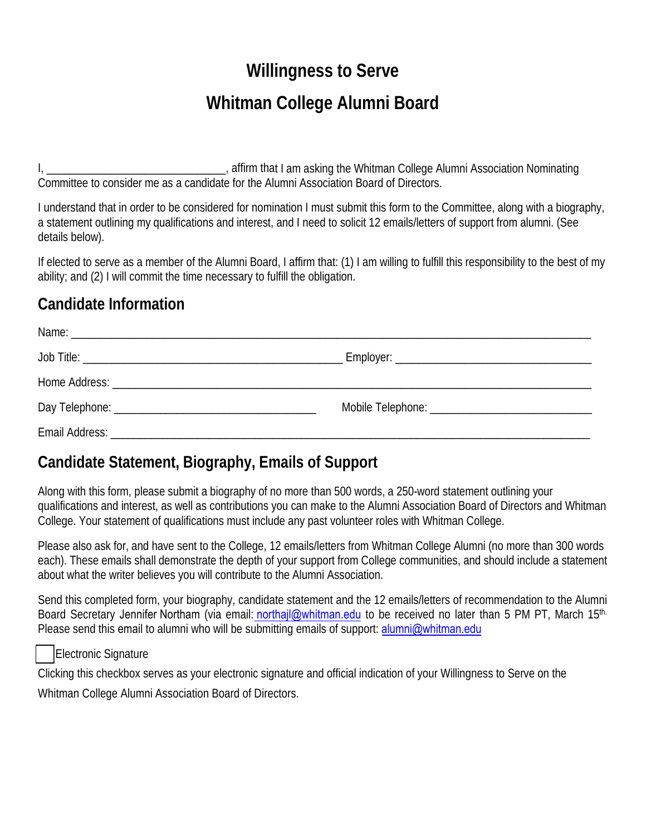# **Willingness to Serve**

## **Whitman College Alumni Board**

I, \_\_\_\_\_\_\_\_\_\_\_\_\_\_\_\_\_\_\_\_\_\_\_\_\_\_\_\_\_\_\_, affirm that I am asking the Whitman College Alumni Association Nominating Committee to consider me as a candidate for the Alumni Association Board of Directors.

I understand that in order to be considered for nomination I must submit this form to the Committee, along with a biography, a statement outlining my qualifications and interest, and I need to solicit 12 emails/letters of support from alumni. (See details below).

If elected to serve as a member of the Alumni Board, I affirm that: (1) I am willing to fulfill this responsibility to the best of my ability; and (2) I will commit the time necessary to fulfill the obligation.

#### **Candidate Information**

#### **Candidate Statement, Biography, Emails of Support**

Along with this form, please submit a biography of no more than 500 words, a 250-word statement outlining your qualifications and interest, as well as contributions you can make to the Alumni Association Board of Directors and Whitman College. Your statement of qualifications must include any past volunteer roles with Whitman College.

Please also ask for, and have sent to the College, 12 emails/letters from Whitman College Alumni (no more than 300 words each). These emails shall demonstrate the depth of your support from College communities, and should include a statement about what the writer believes you will contribute to the Alumni Association.

Send this completed form, your biography, candidate statement and the 12 emails/letters of recommendation to the Alumni Board Secretary Jennifer Northam (via email: northajl@whitman.edu to be received no later than 5 PM PT, March 15<sup>th.</sup> Please send this email to alumni who will be submitting emails of support: [alumni@whitman.edu](mailto:alumni@whitman.edu)

Electronic Signature

Clicking this checkbox serves as your electronic signature and official indication of your Willingness to Serve on the

Whitman College Alumni Association Board of Directors.